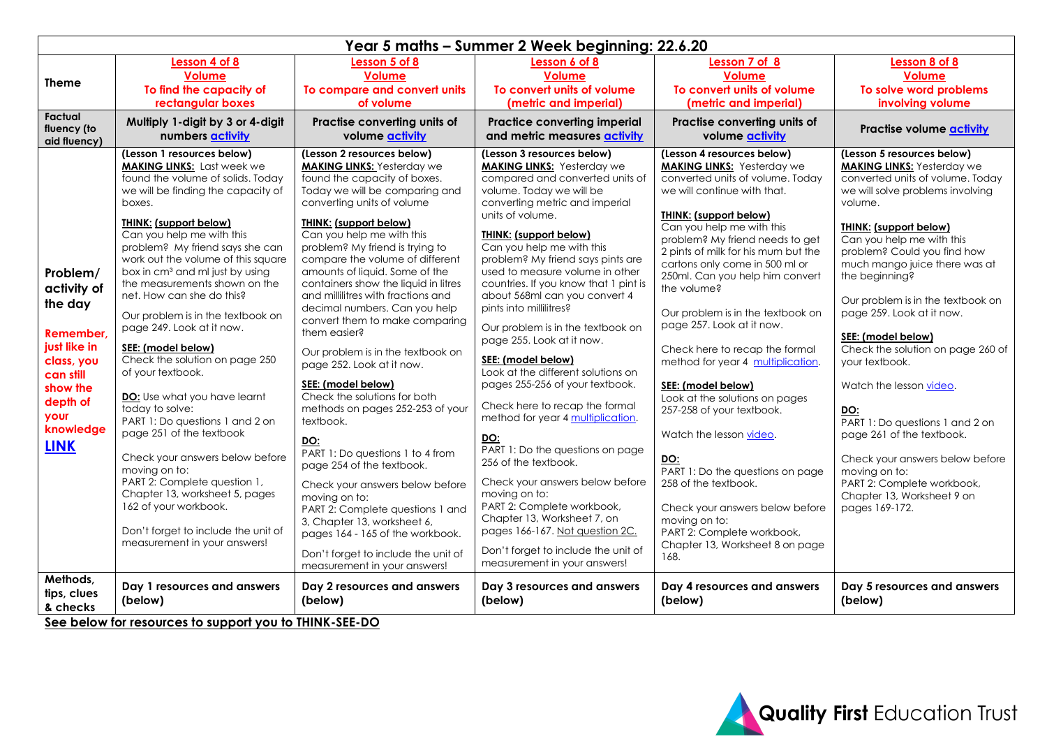| Year 5 maths - Summer 2 Week beginning: 22.6.20                                                                                                        |                                                                                                                                                                                                                                                                                                                                                                                                                                                                                                                                                                                                                                                                                                                                                                                                                                                                                                 |                                                                                                                                                                                                                                                                                                                                                                                                                                                                                                                                                                                                                                                                                                                                                                                                                                                                                                                                                                                           |                                                                                                                                                                                                                                                                                                                                                                                                                                                                                                                                                                                                                                                                                                                                                                                                                                                                                                                                                                       |                                                                                                                                                                                                                                                                                                                                                                                                                                                                                                                                                                                                                                                                                                                                                                                                                         |                                                                                                                                                                                                                                                                                                                                                                                                                                                                                                                                                                                                                                                                                |  |  |
|--------------------------------------------------------------------------------------------------------------------------------------------------------|-------------------------------------------------------------------------------------------------------------------------------------------------------------------------------------------------------------------------------------------------------------------------------------------------------------------------------------------------------------------------------------------------------------------------------------------------------------------------------------------------------------------------------------------------------------------------------------------------------------------------------------------------------------------------------------------------------------------------------------------------------------------------------------------------------------------------------------------------------------------------------------------------|-------------------------------------------------------------------------------------------------------------------------------------------------------------------------------------------------------------------------------------------------------------------------------------------------------------------------------------------------------------------------------------------------------------------------------------------------------------------------------------------------------------------------------------------------------------------------------------------------------------------------------------------------------------------------------------------------------------------------------------------------------------------------------------------------------------------------------------------------------------------------------------------------------------------------------------------------------------------------------------------|-----------------------------------------------------------------------------------------------------------------------------------------------------------------------------------------------------------------------------------------------------------------------------------------------------------------------------------------------------------------------------------------------------------------------------------------------------------------------------------------------------------------------------------------------------------------------------------------------------------------------------------------------------------------------------------------------------------------------------------------------------------------------------------------------------------------------------------------------------------------------------------------------------------------------------------------------------------------------|-------------------------------------------------------------------------------------------------------------------------------------------------------------------------------------------------------------------------------------------------------------------------------------------------------------------------------------------------------------------------------------------------------------------------------------------------------------------------------------------------------------------------------------------------------------------------------------------------------------------------------------------------------------------------------------------------------------------------------------------------------------------------------------------------------------------------|--------------------------------------------------------------------------------------------------------------------------------------------------------------------------------------------------------------------------------------------------------------------------------------------------------------------------------------------------------------------------------------------------------------------------------------------------------------------------------------------------------------------------------------------------------------------------------------------------------------------------------------------------------------------------------|--|--|
| <b>Theme</b>                                                                                                                                           | Lesson 4 of 8<br><b>Volume</b><br>To find the capacity of<br>rectangular boxes                                                                                                                                                                                                                                                                                                                                                                                                                                                                                                                                                                                                                                                                                                                                                                                                                  | Lesson 5 of 8<br><b>Volume</b><br>To compare and convert units<br>of volume                                                                                                                                                                                                                                                                                                                                                                                                                                                                                                                                                                                                                                                                                                                                                                                                                                                                                                               | Lesson 6 of 8<br><b>Volume</b><br>To convert units of volume<br>(metric and imperial)                                                                                                                                                                                                                                                                                                                                                                                                                                                                                                                                                                                                                                                                                                                                                                                                                                                                                 | Lesson 7 of 8<br><b>Volume</b><br>To convert units of volume<br>(metric and imperial)                                                                                                                                                                                                                                                                                                                                                                                                                                                                                                                                                                                                                                                                                                                                   | Lesson 8 of 8<br><b>Volume</b><br>To solve word problems<br>involving volume                                                                                                                                                                                                                                                                                                                                                                                                                                                                                                                                                                                                   |  |  |
| Factual<br>fluency (to<br>aid fluency)                                                                                                                 | Multiply 1-digit by 3 or 4-digit<br>numbers <b>activity</b>                                                                                                                                                                                                                                                                                                                                                                                                                                                                                                                                                                                                                                                                                                                                                                                                                                     | Practise converting units of<br>volume activity                                                                                                                                                                                                                                                                                                                                                                                                                                                                                                                                                                                                                                                                                                                                                                                                                                                                                                                                           | Practice converting imperial<br>and metric measures activity                                                                                                                                                                                                                                                                                                                                                                                                                                                                                                                                                                                                                                                                                                                                                                                                                                                                                                          | Practise converting units of<br>volume activity                                                                                                                                                                                                                                                                                                                                                                                                                                                                                                                                                                                                                                                                                                                                                                         | Practise volume activity                                                                                                                                                                                                                                                                                                                                                                                                                                                                                                                                                                                                                                                       |  |  |
| Problem/<br>activity of<br>the day<br>Remember.<br>just like in<br>class, you<br>can still<br>show the<br>depth of<br>your<br>knowledge<br><b>LINK</b> | (Lesson 1 resources below)<br><b>MAKING LINKS:</b> Last week we<br>found the volume of solids. Today<br>we will be finding the capacity of<br>boxes.<br><b>THINK:</b> (support below)<br>Can you help me with this<br>problem? My friend says she can<br>work out the volume of this square<br>box in cm <sup>3</sup> and ml just by using<br>the measurements shown on the<br>net. How can she do this?<br>Our problem is in the textbook on<br>page 249. Look at it now.<br>SEE: (model below)<br>Check the solution on page 250<br>of your textbook.<br>DO: Use what you have learnt<br>today to solve:<br>PART 1: Do questions 1 and 2 on<br>page 251 of the textbook<br>Check your answers below before<br>moving on to:<br>PART 2: Complete question 1,<br>Chapter 13, worksheet 5, pages<br>162 of your workbook.<br>Don't forget to include the unit of<br>measurement in your answers! | (Lesson 2 resources below)<br><b>MAKING LINKS:</b> Yesterday we<br>found the capacity of boxes.<br>Today we will be comparing and<br>converting units of volume<br><b>THINK: (support below)</b><br>Can you help me with this<br>problem? My friend is trying to<br>compare the volume of different<br>amounts of liquid. Some of the<br>containers show the liquid in litres<br>and millilitres with fractions and<br>decimal numbers. Can you help<br>convert them to make comparing<br>them easier?<br>Our problem is in the textbook on<br>page 252. Look at it now.<br>SEE: (model below)<br>Check the solutions for both<br>methods on pages 252-253 of your<br>textbook.<br>DO:<br>PART 1: Do questions 1 to 4 from<br>page 254 of the textbook.<br>Check your answers below before<br>moving on to:<br>PART 2: Complete questions 1 and<br>3, Chapter 13, worksheet 6,<br>pages 164 - 165 of the workbook.<br>Don't forget to include the unit of<br>measurement in your answers! | (Lesson 3 resources below)<br><b>MAKING LINKS:</b> Yesterday we<br>compared and converted units of<br>volume. Today we will be<br>converting metric and imperial<br>units of volume.<br><b>THINK: (support below)</b><br>Can you help me with this<br>problem? My friend says pints are<br>used to measure volume in other<br>countries. If you know that 1 pint is<br>about 568ml can you convert 4<br>pints into millilitres?<br>Our problem is in the textbook on<br>page 255. Look at it now.<br>SEE: (model below)<br>Look at the different solutions on<br>pages 255-256 of your textbook.<br>Check here to recap the formal<br>method for year 4 multiplication.<br>DO:<br>PART 1: Do the questions on page<br>256 of the textbook.<br>Check your answers below before<br>moving on to:<br>PART 2: Complete workbook,<br>Chapter 13, Worksheet 7, on<br>pages 166-167. Not question 2C.<br>Don't forget to include the unit of<br>measurement in your answers! | (Lesson 4 resources below)<br><b>MAKING LINKS:</b> Yesterday we<br>converted units of volume. Today<br>we will continue with that.<br><b>THINK: (support below)</b><br>Can you help me with this<br>problem? My friend needs to get<br>2 pints of milk for his mum but the<br>cartons only come in 500 ml or<br>250ml. Can you help him convert<br>the volume?<br>Our problem is in the textbook on<br>page 257. Look at it now.<br>Check here to recap the formal<br>method for year 4 multiplication.<br>SEE: (model below)<br>Look at the solutions on pages<br>257-258 of your textbook.<br>Watch the lesson video.<br>DO:<br>PART 1: Do the questions on page<br>258 of the textbook.<br>Check your answers below before<br>moving on to:<br>PART 2: Complete workbook,<br>Chapter 13, Worksheet 8 on page<br>168. | (Lesson 5 resources below)<br><b>MAKING LINKS: Yesterday we</b><br>converted units of volume. Today<br>we will solve problems involving<br>volume.<br>THINK: (support below)<br>Can you help me with this<br>problem? Could you find how<br>much mango juice there was at<br>the beginning?<br>Our problem is in the textbook on<br>page 259. Look at it now.<br>SEE: (model below)<br>Check the solution on page 260 of<br>your textbook.<br>Watch the lesson video.<br>DO:<br>PART 1: Do questions 1 and 2 on<br>page 261 of the textbook.<br>Check your answers below before<br>moving on to:<br>PART 2: Complete workbook,<br>Chapter 13, Worksheet 9 on<br>pages 169-172. |  |  |
| Methods,<br>tips, clues<br>& checks                                                                                                                    | Day 1 resources and answers<br>(below)<br>Can below for reserves to support varies THEIK CEE BO                                                                                                                                                                                                                                                                                                                                                                                                                                                                                                                                                                                                                                                                                                                                                                                                 | Day 2 resources and answers<br>(below)                                                                                                                                                                                                                                                                                                                                                                                                                                                                                                                                                                                                                                                                                                                                                                                                                                                                                                                                                    | Day 3 resources and answers<br>(below)                                                                                                                                                                                                                                                                                                                                                                                                                                                                                                                                                                                                                                                                                                                                                                                                                                                                                                                                | Day 4 resources and answers<br>(below)                                                                                                                                                                                                                                                                                                                                                                                                                                                                                                                                                                                                                                                                                                                                                                                  | Day 5 resources and answers<br>(below)                                                                                                                                                                                                                                                                                                                                                                                                                                                                                                                                                                                                                                         |  |  |

**See below for resources to support you to THINK-SEE-DO**

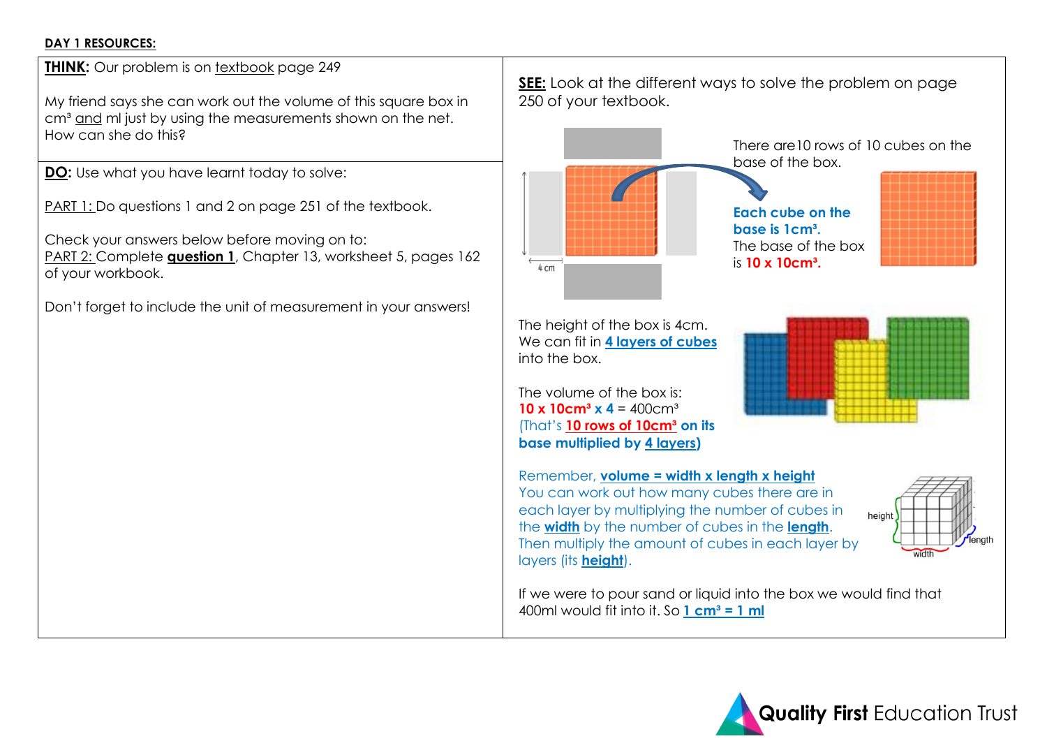## **DAY 1 RESOURCES:**

**THINK:** Our problem is on textbook page 249

My friend says she can work out the volume of this square box in cm<sup>3</sup> and ml just by using the measurements shown on the net. How can she do this?

**DO:** Use what you have learnt today to solve:

PART 1: Do questions 1 and 2 on page 251 of the textbook.

Check your answers below before moving on to: PART 2: Complete **question 1**, Chapter 13, worksheet 5, pages 162 of your workbook.

Don't forget to include the unit of measurement in your answers!

**SEE:** Look at the different ways to solve the problem on page 250 of your textbook. There are10 rows of 10 cubes on the base of the box. **Each cube on the base is 1cm³.** The base of the box is **10 x 10cm³.**4 cm The height of the box is 4cm. We can fit in **4 layers of cubes** into the box. The volume of the box is: **10 x 10cm<sup>3</sup> x 4** = 400cm<sup>3</sup> (That's **10 rows of 10cm³ on its base multiplied by 4 layers)**  Remember, **volume = width x length x height**

You can work out how many cubes there are in each layer by multiplying the number of cubes in the **width** by the number of cubes in the **length**. Then multiply the amount of cubes in each layer by the number of layers (its **height**).

If we were to pour sand or liquid into the box we would find that 400ml would fit into it. So **1 cm³ = 1 ml**



height

enath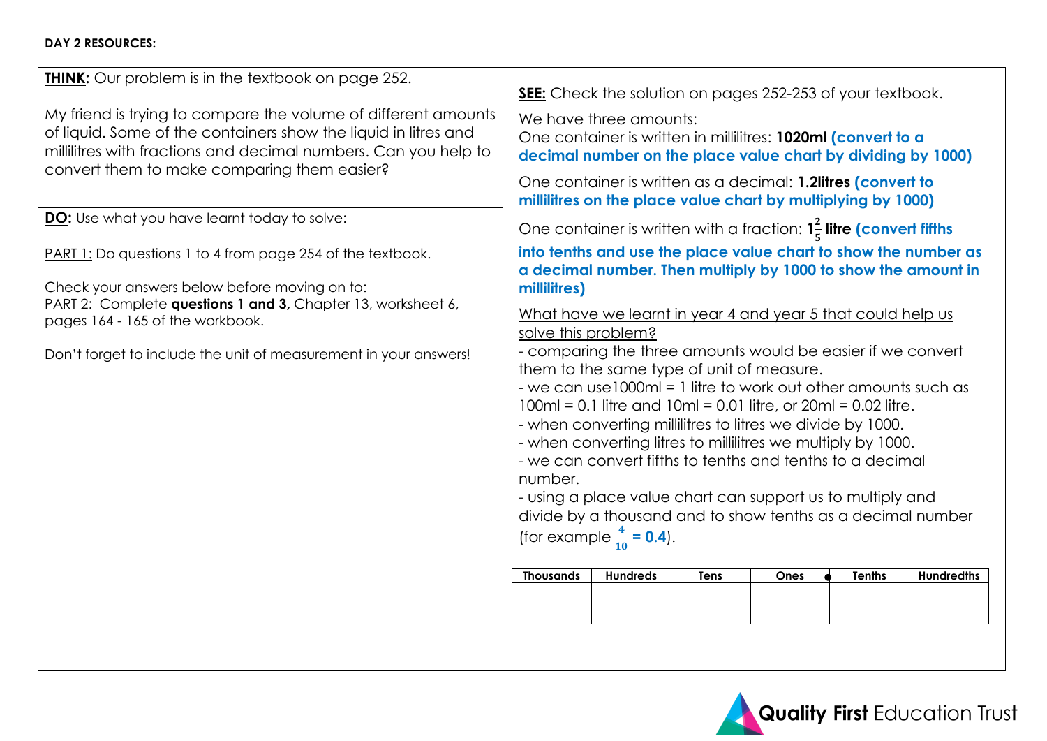## **DAY 2 RESOURCES:**

| <b>THINK:</b> Our problem is in the textbook on page 252.                                                                                                                                                                                           | <b>SEE:</b> Check the solution on pages 252-253 of your textbook.                                                                                                                                                                                                                                                                                                                                                                                                                                                                                                                                                                                    |  |  |  |  |
|-----------------------------------------------------------------------------------------------------------------------------------------------------------------------------------------------------------------------------------------------------|------------------------------------------------------------------------------------------------------------------------------------------------------------------------------------------------------------------------------------------------------------------------------------------------------------------------------------------------------------------------------------------------------------------------------------------------------------------------------------------------------------------------------------------------------------------------------------------------------------------------------------------------------|--|--|--|--|
| My friend is trying to compare the volume of different amounts<br>of liquid. Some of the containers show the liquid in litres and<br>millilitres with fractions and decimal numbers. Can you help to<br>convert them to make comparing them easier? | We have three amounts:<br>One container is written in millilitres: 1020ml (convert to a<br>decimal number on the place value chart by dividing by 1000)<br>One container is written as a decimal: 1.2litres (convert to                                                                                                                                                                                                                                                                                                                                                                                                                              |  |  |  |  |
| <b>DO:</b> Use what you have learnt today to solve:                                                                                                                                                                                                 | millilitres on the place value chart by multiplying by 1000)<br>One container is written with a fraction: $1\frac{2}{5}$ litre (convert fifths                                                                                                                                                                                                                                                                                                                                                                                                                                                                                                       |  |  |  |  |
| <b>PART 1:</b> Do questions 1 to 4 from page 254 of the textbook.                                                                                                                                                                                   | into tenths and use the place value chart to show the number as<br>a decimal number. Then multiply by 1000 to show the amount in                                                                                                                                                                                                                                                                                                                                                                                                                                                                                                                     |  |  |  |  |
| Check your answers below before moving on to:<br>PART 2: Complete questions 1 and 3, Chapter 13, worksheet 6,                                                                                                                                       | millilitres)<br>What have we learnt in year 4 and year 5 that could help us                                                                                                                                                                                                                                                                                                                                                                                                                                                                                                                                                                          |  |  |  |  |
| pages 164 - 165 of the workbook.<br>Don't forget to include the unit of measurement in your answers!                                                                                                                                                | solve this problem?<br>- comparing the three amounts would be easier if we convert<br>them to the same type of unit of measure.<br>- we can use 1000ml = 1 litre to work out other amounts such as<br>$100ml = 0.1$ litre and $10ml = 0.01$ litre, or $20ml = 0.02$ litre.<br>- when converting millilitres to litres we divide by 1000.<br>- when converting litres to millilitres we multiply by 1000.<br>- we can convert fifths to tenths and tenths to a decimal<br>number.<br>- using a place value chart can support us to multiply and<br>divide by a thousand and to show tenths as a decimal number<br>(for example $\frac{4}{10}$ = 0.4). |  |  |  |  |
|                                                                                                                                                                                                                                                     | <b>Tenths</b><br><b>Thousands</b><br><b>Hundreds</b><br><b>Tens</b><br><b>Ones</b><br><b>Hundredths</b>                                                                                                                                                                                                                                                                                                                                                                                                                                                                                                                                              |  |  |  |  |
|                                                                                                                                                                                                                                                     |                                                                                                                                                                                                                                                                                                                                                                                                                                                                                                                                                                                                                                                      |  |  |  |  |
|                                                                                                                                                                                                                                                     |                                                                                                                                                                                                                                                                                                                                                                                                                                                                                                                                                                                                                                                      |  |  |  |  |

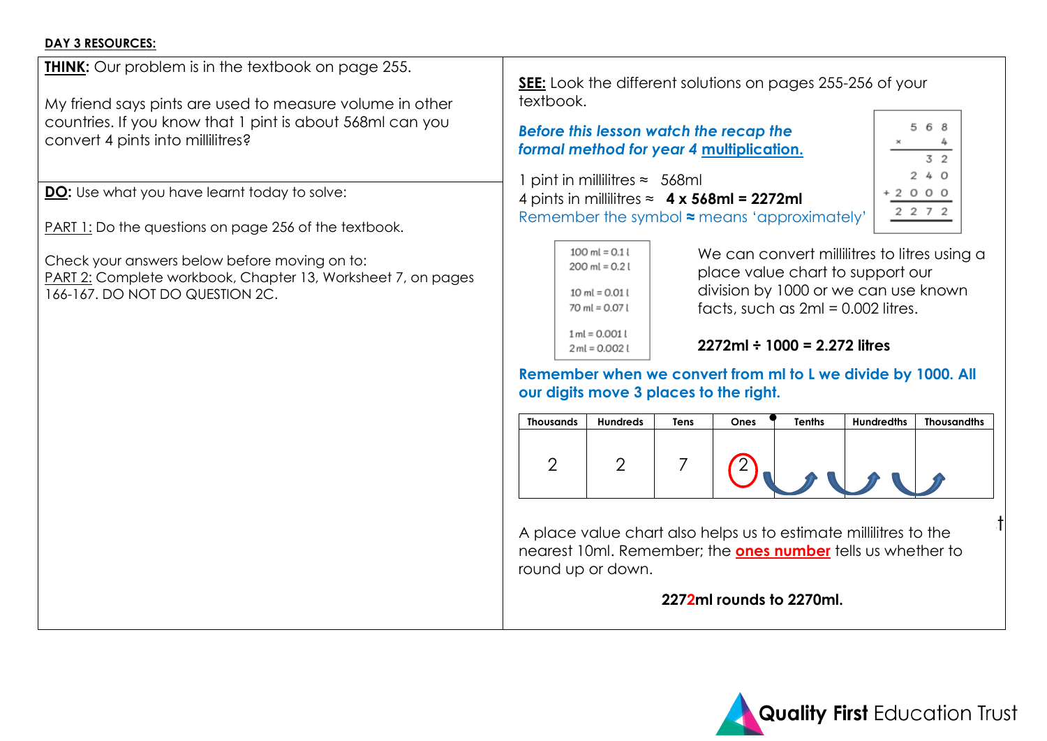#### **DAY 3 RESOURCES:**

**THINK:** Our problem is in the textbook on page 255.

My friend says pints are used to measure volume in other countries. If you know that 1 pint is about 568ml can you convert 4 pints into millilitres?

**DO:** Use what you have learnt today to solve:

PART 1: Do the questions on page 256 of the textbook.

Check your answers below before moving on to: PART 2: Complete workbook, Chapter 13, Worksheet 7, on pages 166-167. DO NOT DO QUESTION 2C.

**SEE:** Look the different solutions on pages 255-256 of your textbook.

*Before this lesson watch the recap the formal method for year 4* **[multiplication.](https://www.belleville-school.org.uk/our-learning/calculation-videos)**

1 pint in millilitres ≈ 568ml 4 pints in millilitres ≈ **4 x 568ml = 2272ml** Remember the symbol **≈** means 'approximately'.

| 100 ml = $0.11$<br>$200$ ml = 0.2 l                 |
|-----------------------------------------------------|
| $10 \text{ ml} = 0.01 \text{ l}$<br>70 ml = $0.071$ |
| $1 ml = 0.001 l$<br>$2ml = 0.002l$                  |

We can convert millilitres to litres using a place value chart to support our division by 1000 or we can use known facts, such as  $2ml = 0.002$  litres.

5 6 8

 $3<sub>2</sub>$  $240$  $+2000$ 2 2 7 2

**2272ml ÷ 1000 = 2.272 litres**

**Remember when we convert from ml to L we divide by 1000. All our digits move 3 places to the right.**

| <b>Thousands</b> | <b>Hundreds</b> | Tens | Ones | <b>Tenths</b> | <b>Hundredths</b> | <b>Thousandths</b> |
|------------------|-----------------|------|------|---------------|-------------------|--------------------|
|                  |                 |      |      |               |                   |                    |

A place value chart also helps us to estimate millilitres to the nearest 10ml. Remember; the **ones number** tells us whether to round up or down.

**2272ml rounds to 2270ml.**

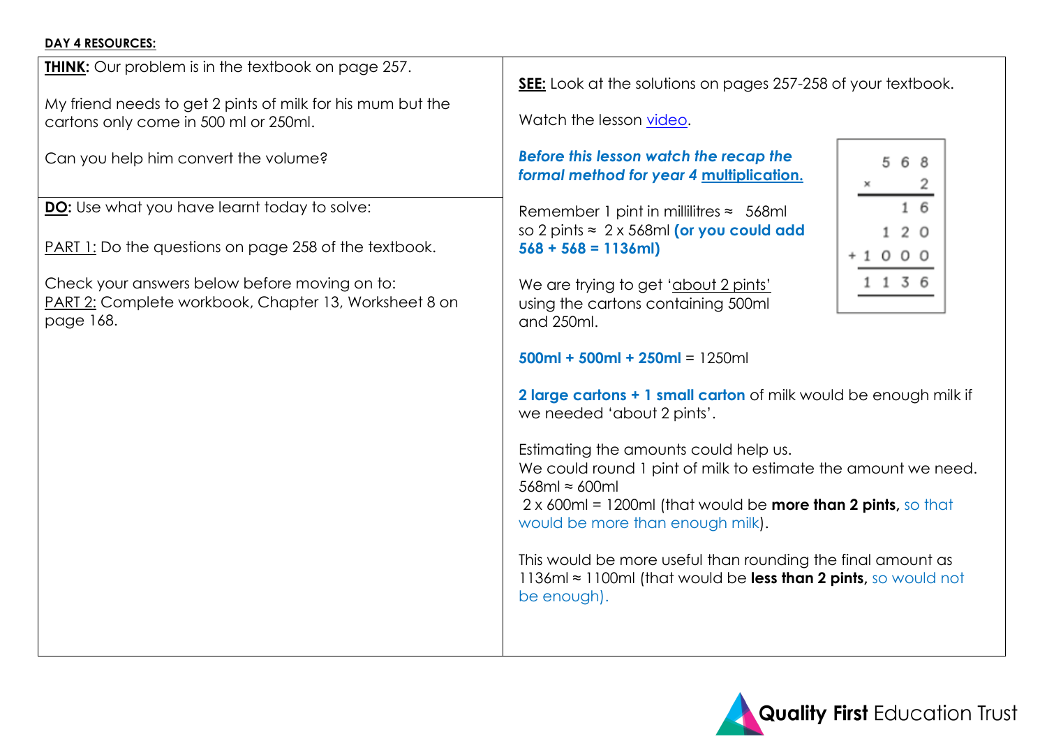## **DAY 4 RESOURCES:**

**THINK:** Our problem is in the textbook on page 257.

My friend needs to get 2 pints of milk for his mum but the cartons only come in 500 ml or 250ml.

Can you help him convert the volume?

**DO:** Use what you have learnt today to solve:

PART 1: Do the questions on page 258 of the textbook.

Check your answers below before moving on to: PART 2: Complete workbook, Chapter 13, Worksheet 8 on page 168.

**SEE:** Look at the solutions on pages 257-258 of your textbook.

Watch the lesson [video.](https://vimeo.com/429234583/998a9eb08f)

## *Before this lesson watch the recap the formal method for year 4* **[multiplication.](https://www.belleville-school.org.uk/our-learning/calculation-videos)**

Remember 1 pint in millilitres  $\approx$  568ml so 2 pints ≈ 2 x 568ml **(or you could add 568 + 568 = 1136ml)**

We are trying to get 'about 2 pints' using the cartons containing 500ml and 250ml.

```
500ml + 500ml + 250ml = 1250ml
```
**2 large cartons + 1 small carton** of milk would be enough milk if we needed 'about 2 pints'.

Estimating the amounts could help us.

We could round 1 pint of milk to estimate the amount we need. 568ml ≈ 600ml

2 x 600ml = 1200ml (that would be **more than 2 pints,** so that would be more than enough milk).

This would be more useful than rounding the final amount as 1136ml ≈ 1100ml (that would be **less than 2 pints,** so would not be enough).



|   |         | 568 |    |  |
|---|---------|-----|----|--|
| × |         |     | 2  |  |
|   |         |     | 16 |  |
|   |         | 120 |    |  |
|   | +1000   |     |    |  |
|   | 1 1 3 6 |     |    |  |
|   |         |     |    |  |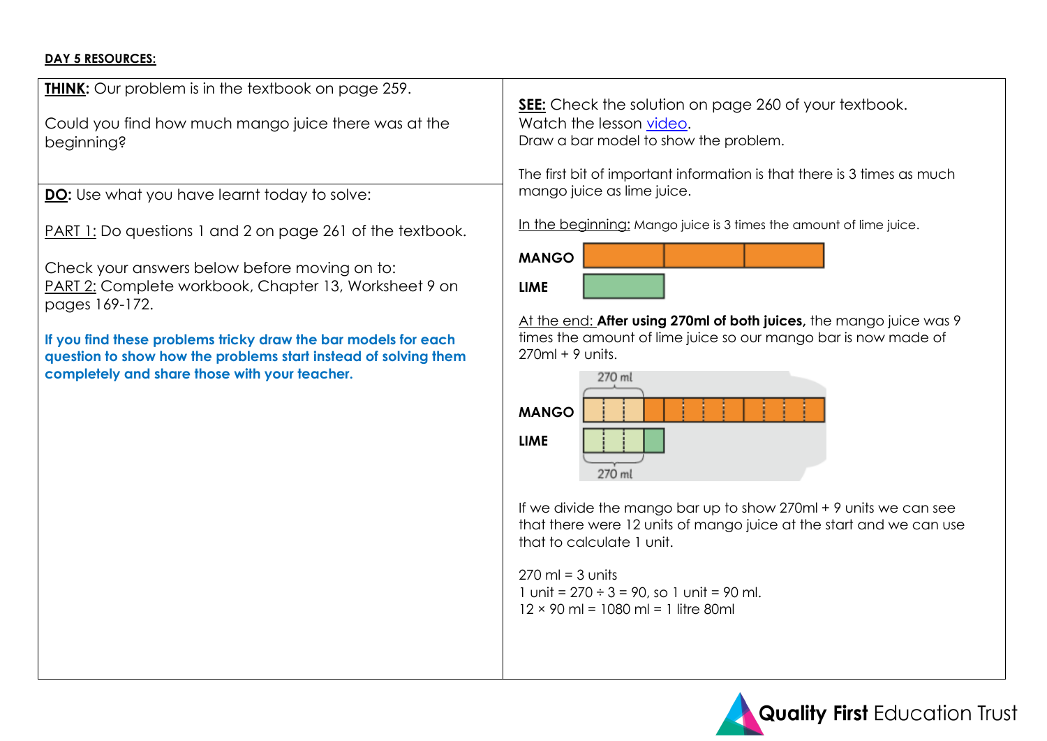## **DAY 5 RESOURCES:**

**THINK:** Our problem is in the textbook on page 259.

Could you find how much mango juice there was at the beginning?

**DO:** Use what you have learnt today to solve:

PART 1: Do questions 1 and 2 on page 261 of the textbook.

Check your answers below before moving on to: PART 2: Complete workbook, Chapter 13, Worksheet 9 on pages 169-172.

**If you find these problems tricky draw the bar models for each question to show how the problems start instead of solving them completely and share those with your teacher.**

**SEE:** Check the solution on page 260 of your textbook. Watch the lesson [video.](https://vimeo.com/429311038/12e7de5e31) Draw a bar model to show the problem.

The first bit of important information is that there is 3 times as much mango juice as lime juice.

In the beginning: Mango juice is 3 times the amount of lime juice.

| <b>MANGO</b> |  |  |
|--------------|--|--|
| <b>LIME</b>  |  |  |

At the end: **After using 270ml of both juices,** the mango juice was 9 times the amount of lime juice so our mango bar is now made of  $270ml + 9$  units.



If we divide the mango bar up to show 270ml + 9 units we can see that there were 12 units of mango juice at the start and we can use that to calculate 1 unit.

 $270 \text{ ml} = 3 \text{ units}$ 1 unit =  $270 \div 3 = 90$ , so 1 unit = 90 ml.  $12 \times 90$  ml = 1080 ml = 1 litre 80ml